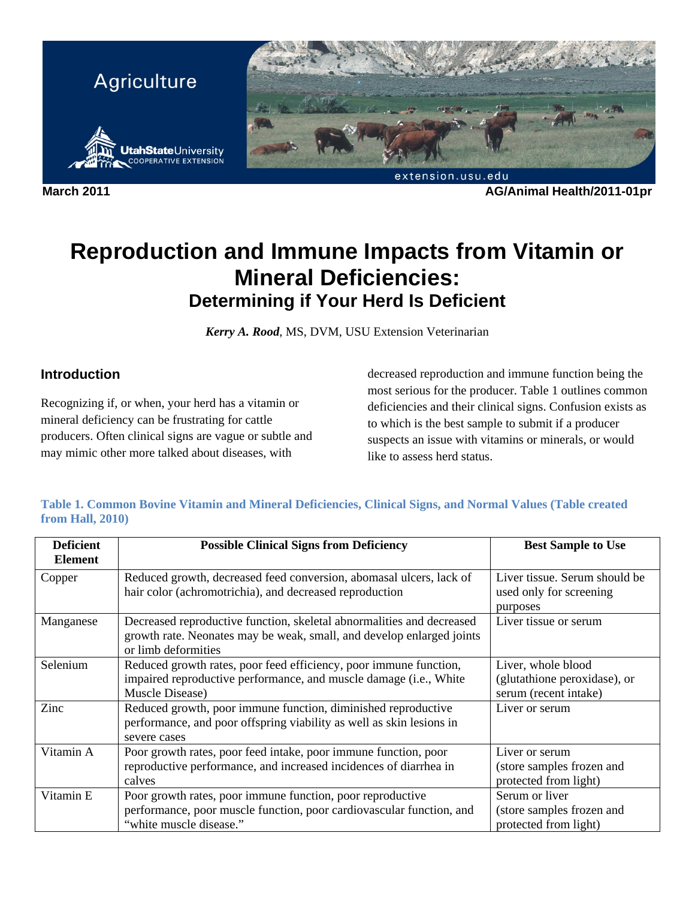

**March 2011 AG/Animal Health/2011-01pr** 

# **Reproduction and Immune Impacts from Vitamin or Mineral Deficiencies: Determining if Your Herd Is Deficient**

*Kerry A. Rood*, MS, DVM, USU Extension Veterinarian

## **Introduction**

Recognizing if, or when, your herd has a vitamin or mineral deficiency can be frustrating for cattle producers. Often clinical signs are vague or subtle and may mimic other more talked about diseases, with

decreased reproduction and immune function being the most serious for the producer. Table 1 outlines common deficiencies and their clinical signs. Confusion exists as to which is the best sample to submit if a producer suspects an issue with vitamins or minerals, or would like to assess herd status.

| Table 1. Common Bovine Vitamin and Mineral Deficiencies, Clinical Signs, and Normal Values (Table created |  |  |  |
|-----------------------------------------------------------------------------------------------------------|--|--|--|
| <b>from Hall, 2010)</b>                                                                                   |  |  |  |

| <b>Deficient</b><br><b>Element</b> | <b>Possible Clinical Signs from Deficiency</b>                                                                                                                        | <b>Best Sample to Use</b>                                                   |
|------------------------------------|-----------------------------------------------------------------------------------------------------------------------------------------------------------------------|-----------------------------------------------------------------------------|
| Copper                             | Reduced growth, decreased feed conversion, abomasal ulcers, lack of<br>hair color (achromotrichia), and decreased reproduction                                        | Liver tissue. Serum should be<br>used only for screening<br>purposes        |
| Manganese                          | Decreased reproductive function, skeletal abnormalities and decreased<br>growth rate. Neonates may be weak, small, and develop enlarged joints<br>or limb deformities | Liver tissue or serum                                                       |
| Selenium                           | Reduced growth rates, poor feed efficiency, poor immune function,<br>impaired reproductive performance, and muscle damage (i.e., White<br>Muscle Disease)             | Liver, whole blood<br>(glutathione peroxidase), or<br>serum (recent intake) |
| Zinc                               | Reduced growth, poor immune function, diminished reproductive<br>performance, and poor offspring viability as well as skin lesions in<br>severe cases                 | Liver or serum                                                              |
| Vitamin A                          | Poor growth rates, poor feed intake, poor immune function, poor<br>reproductive performance, and increased incidences of diarrhea in<br>calves                        | Liver or serum<br>(store samples frozen and<br>protected from light)        |
| Vitamin E                          | Poor growth rates, poor immune function, poor reproductive<br>performance, poor muscle function, poor cardiovascular function, and<br>"white muscle disease."         | Serum or liver<br>(store samples frozen and<br>protected from light)        |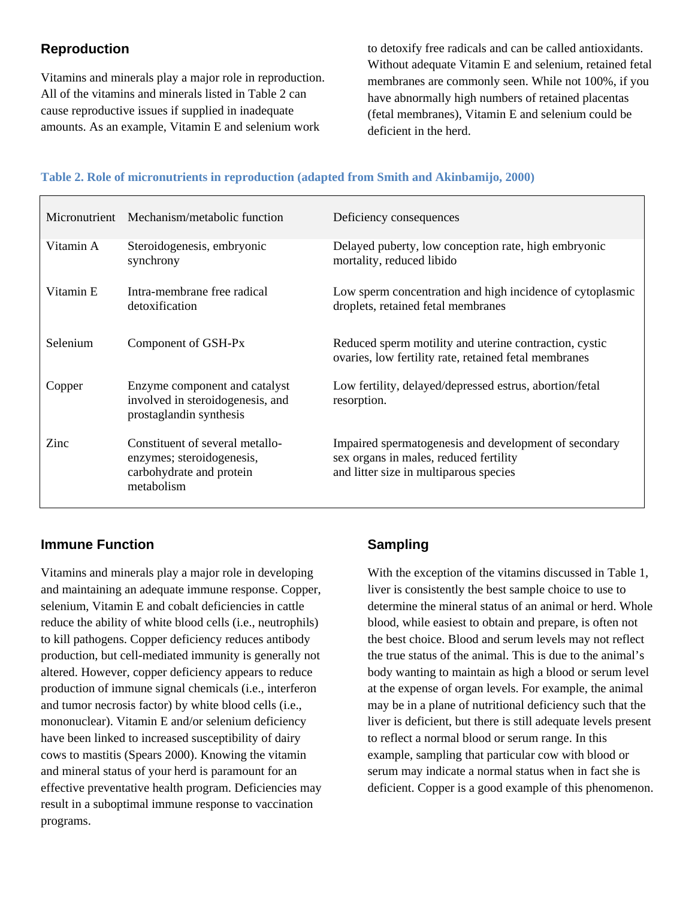# **Reproduction**

Vitamins and minerals play a major role in reproduction. All of the vitamins and minerals listed in Table 2 can cause reproductive issues if supplied in inadequate amounts. As an example, Vitamin E and selenium work

to detoxify free radicals and can be called antioxidants. Without adequate Vitamin E and selenium, retained fetal membranes are commonly seen. While not 100%, if you have abnormally high numbers of retained placentas (fetal membranes), Vitamin E and selenium could be deficient in the herd.

#### **Table 2. Role of micronutrients in reproduction (adapted from Smith and Akinbamijo, 2000)**

|           | Micronutrient Mechanism/metabolic function                                                             | Deficiency consequences                                                                                                                   |  |  |
|-----------|--------------------------------------------------------------------------------------------------------|-------------------------------------------------------------------------------------------------------------------------------------------|--|--|
| Vitamin A | Steroidogenesis, embryonic<br>synchrony                                                                | Delayed puberty, low conception rate, high embryonic<br>mortality, reduced libido                                                         |  |  |
| Vitamin E | Intra-membrane free radical<br>detoxification                                                          | Low sperm concentration and high incidence of cytoplasmic<br>droplets, retained fetal membranes                                           |  |  |
| Selenium  | Component of GSH-Px                                                                                    | Reduced sperm motility and uterine contraction, cystic<br>ovaries, low fertility rate, retained fetal membranes                           |  |  |
| Copper    | Enzyme component and catalyst<br>involved in steroidogenesis, and<br>prostaglandin synthesis           | Low fertility, delayed/depressed estrus, abortion/fetal<br>resorption.                                                                    |  |  |
| Zinc      | Constituent of several metallo-<br>enzymes; steroidogenesis,<br>carbohydrate and protein<br>metabolism | Impaired spermatogenesis and development of secondary<br>sex organs in males, reduced fertility<br>and litter size in multiparous species |  |  |

#### **Immune Function**

Vitamins and minerals play a major role in developing and maintaining an adequate immune response. Copper, selenium, Vitamin E and cobalt deficiencies in cattle reduce the ability of white blood cells (i.e., neutrophils) to kill pathogens. Copper deficiency reduces antibody production, but cell-mediated immunity is generally not altered. However, copper deficiency appears to reduce production of immune signal chemicals (i.e., interferon and tumor necrosis factor) by white blood cells (i.e., mononuclear). Vitamin E and/or selenium deficiency have been linked to increased susceptibility of dairy cows to mastitis (Spears 2000). Knowing the vitamin and mineral status of your herd is paramount for an effective preventative health program. Deficiencies may result in a suboptimal immune response to vaccination programs.

## **Sampling**

With the exception of the vitamins discussed in Table 1, liver is consistently the best sample choice to use to determine the mineral status of an animal or herd. Whole blood, while easiest to obtain and prepare, is often not the best choice. Blood and serum levels may not reflect the true status of the animal. This is due to the animal's body wanting to maintain as high a blood or serum level at the expense of organ levels. For example, the animal may be in a plane of nutritional deficiency such that the liver is deficient, but there is still adequate levels present to reflect a normal blood or serum range. In this example, sampling that particular cow with blood or serum may indicate a normal status when in fact she is deficient. Copper is a good example of this phenomenon.